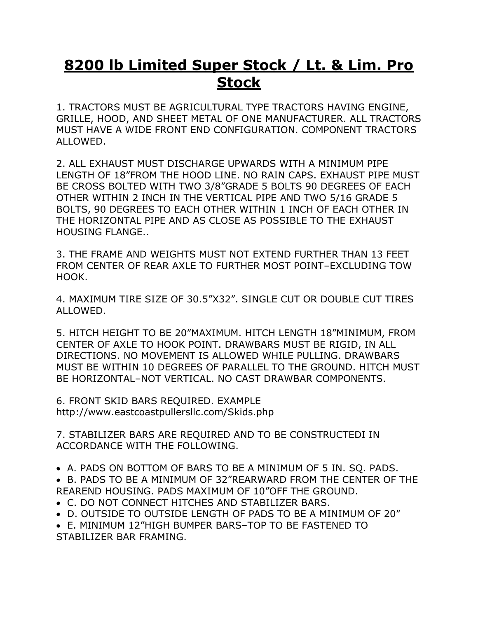## **8200 lb Limited Super Stock / Lt. & Lim. Pro Stock**

1. TRACTORS MUST BE AGRICULTURAL TYPE TRACTORS HAVING ENGINE, GRILLE, HOOD, AND SHEET METAL OF ONE MANUFACTURER. ALL TRACTORS MUST HAVE A WIDE FRONT END CONFIGURATION. COMPONENT TRACTORS ALLOWED.

2. ALL EXHAUST MUST DISCHARGE UPWARDS WITH A MINIMUM PIPE LENGTH OF 18"FROM THE HOOD LINE. NO RAIN CAPS. EXHAUST PIPE MUST BE CROSS BOLTED WITH TWO 3/8"GRADE 5 BOLTS 90 DEGREES OF EACH OTHER WITHIN 2 INCH IN THE VERTICAL PIPE AND TWO 5/16 GRADE 5 BOLTS, 90 DEGREES TO EACH OTHER WITHIN 1 INCH OF EACH OTHER IN THE HORIZONTAL PIPE AND AS CLOSE AS POSSIBLE TO THE EXHAUST HOUSING FLANGE..

3. THE FRAME AND WEIGHTS MUST NOT EXTEND FURTHER THAN 13 FEET FROM CENTER OF REAR AXLE TO FURTHER MOST POINT–EXCLUDING TOW HOOK.

4. MAXIMUM TIRE SIZE OF 30.5"X32". SINGLE CUT OR DOUBLE CUT TIRES ALLOWED.

5. HITCH HEIGHT TO BE 20"MAXIMUM. HITCH LENGTH 18"MINIMUM, FROM CENTER OF AXLE TO HOOK POINT. DRAWBARS MUST BE RIGID, IN ALL DIRECTIONS. NO MOVEMENT IS ALLOWED WHILE PULLING. DRAWBARS MUST BE WITHIN 10 DEGREES OF PARALLEL TO THE GROUND. HITCH MUST BE HORIZONTAL–NOT VERTICAL. NO CAST DRAWBAR COMPONENTS.

6. FRONT SKID BARS REQUIRED. EXAMPLE http://www.eastcoastpullersllc.com/Skids.php

7. STABILIZER BARS ARE REQUIRED AND TO BE CONSTRUCTEDI IN ACCORDANCE WITH THE FOLLOWING.

• A. PADS ON BOTTOM OF BARS TO BE A MINIMUM OF 5 IN. SQ. PADS.

• B. PADS TO BE A MINIMUM OF 32"REARWARD FROM THE CENTER OF THE REAREND HOUSING. PADS MAXIMUM OF 10"OFF THE GROUND.

- C. DO NOT CONNECT HITCHES AND STABILIZER BARS.
- D. OUTSIDE TO OUTSIDE LENGTH OF PADS TO BE A MINIMUM OF 20"

• E. MINIMUM 12"HIGH BUMPER BARS–TOP TO BE FASTENED TO STABILIZER BAR FRAMING.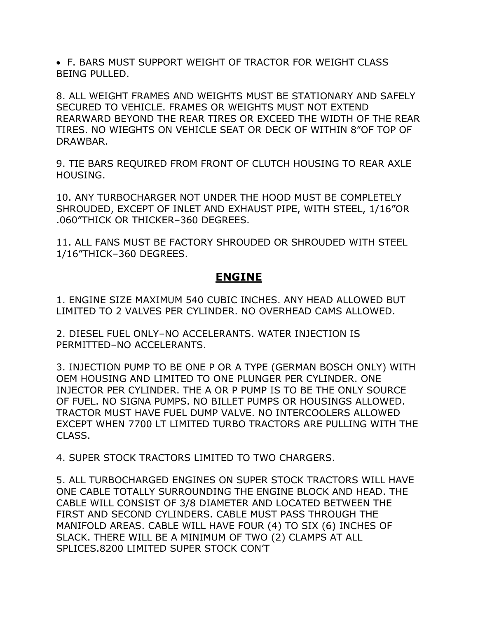• F. BARS MUST SUPPORT WEIGHT OF TRACTOR FOR WEIGHT CLASS BEING PULLED.

8. ALL WEIGHT FRAMES AND WEIGHTS MUST BE STATIONARY AND SAFELY SECURED TO VEHICLE. FRAMES OR WEIGHTS MUST NOT EXTEND REARWARD BEYOND THE REAR TIRES OR EXCEED THE WIDTH OF THE REAR TIRES. NO WIEGHTS ON VEHICLE SEAT OR DECK OF WITHIN 8"OF TOP OF DRAWBAR.

9. TIE BARS REQUIRED FROM FRONT OF CLUTCH HOUSING TO REAR AXLE HOUSING.

10. ANY TURBOCHARGER NOT UNDER THE HOOD MUST BE COMPLETELY SHROUDED, EXCEPT OF INLET AND EXHAUST PIPE, WITH STEEL, 1/16"OR .060"THICK OR THICKER–360 DEGREES.

11. ALL FANS MUST BE FACTORY SHROUDED OR SHROUDED WITH STEEL 1/16"THICK–360 DEGREES.

## **ENGINE**

1. ENGINE SIZE MAXIMUM 540 CUBIC INCHES. ANY HEAD ALLOWED BUT LIMITED TO 2 VALVES PER CYLINDER. NO OVERHEAD CAMS ALLOWED.

2. DIESEL FUEL ONLY–NO ACCELERANTS. WATER INJECTION IS PERMITTED–NO ACCELERANTS.

3. INJECTION PUMP TO BE ONE P OR A TYPE (GERMAN BOSCH ONLY) WITH OEM HOUSING AND LIMITED TO ONE PLUNGER PER CYLINDER. ONE INJECTOR PER CYLINDER. THE A OR P PUMP IS TO BE THE ONLY SOURCE OF FUEL. NO SIGNA PUMPS. NO BILLET PUMPS OR HOUSINGS ALLOWED. TRACTOR MUST HAVE FUEL DUMP VALVE. NO INTERCOOLERS ALLOWED EXCEPT WHEN 7700 LT LIMITED TURBO TRACTORS ARE PULLING WITH THE CLASS.

4. SUPER STOCK TRACTORS LIMITED TO TWO CHARGERS.

5. ALL TURBOCHARGED ENGINES ON SUPER STOCK TRACTORS WILL HAVE ONE CABLE TOTALLY SURROUNDING THE ENGINE BLOCK AND HEAD. THE CABLE WILL CONSIST OF 3/8 DIAMETER AND LOCATED BETWEEN THE FIRST AND SECOND CYLINDERS. CABLE MUST PASS THROUGH THE MANIFOLD AREAS. CABLE WILL HAVE FOUR (4) TO SIX (6) INCHES OF SLACK. THERE WILL BE A MINIMUM OF TWO (2) CLAMPS AT ALL SPLICES.8200 LIMITED SUPER STOCK CON'T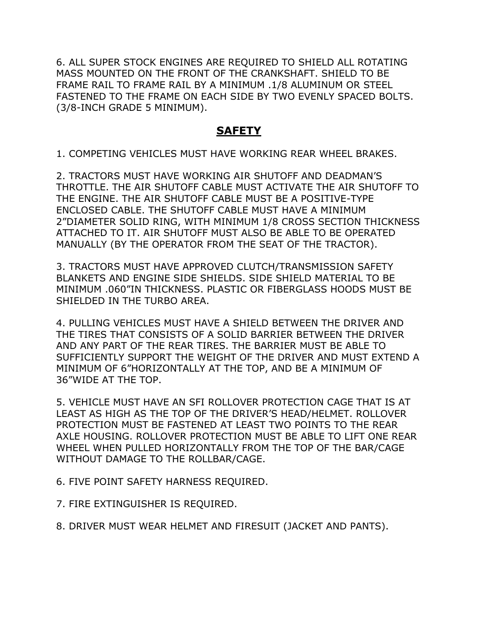6. ALL SUPER STOCK ENGINES ARE REQUIRED TO SHIELD ALL ROTATING MASS MOUNTED ON THE FRONT OF THE CRANKSHAFT. SHIELD TO BE FRAME RAIL TO FRAME RAIL BY A MINIMUM .1/8 ALUMINUM OR STEEL FASTENED TO THE FRAME ON EACH SIDE BY TWO EVENLY SPACED BOLTS. (3/8-INCH GRADE 5 MINIMUM).

## **SAFETY**

1. COMPETING VEHICLES MUST HAVE WORKING REAR WHEEL BRAKES.

2. TRACTORS MUST HAVE WORKING AIR SHUTOFF AND DEADMAN'S THROTTLE. THE AIR SHUTOFF CABLE MUST ACTIVATE THE AIR SHUTOFF TO THE ENGINE. THE AIR SHUTOFF CABLE MUST BE A POSITIVE-TYPE ENCLOSED CABLE. THE SHUTOFF CABLE MUST HAVE A MINIMUM 2"DIAMETER SOLID RING, WITH MINIMUM 1/8 CROSS SECTION THICKNESS ATTACHED TO IT. AIR SHUTOFF MUST ALSO BE ABLE TO BE OPERATED MANUALLY (BY THE OPERATOR FROM THE SEAT OF THE TRACTOR).

3. TRACTORS MUST HAVE APPROVED CLUTCH/TRANSMISSION SAFETY BLANKETS AND ENGINE SIDE SHIELDS. SIDE SHIELD MATERIAL TO BE MINIMUM .060"IN THICKNESS. PLASTIC OR FIBERGLASS HOODS MUST BE SHIELDED IN THE TURBO AREA.

4. PULLING VEHICLES MUST HAVE A SHIELD BETWEEN THE DRIVER AND THE TIRES THAT CONSISTS OF A SOLID BARRIER BETWEEN THE DRIVER AND ANY PART OF THE REAR TIRES. THE BARRIER MUST BE ABLE TO SUFFICIENTLY SUPPORT THE WEIGHT OF THE DRIVER AND MUST EXTEND A MINIMUM OF 6"HORIZONTALLY AT THE TOP, AND BE A MINIMUM OF 36"WIDE AT THE TOP.

5. VEHICLE MUST HAVE AN SFI ROLLOVER PROTECTION CAGE THAT IS AT LEAST AS HIGH AS THE TOP OF THE DRIVER'S HEAD/HELMET. ROLLOVER PROTECTION MUST BE FASTENED AT LEAST TWO POINTS TO THE REAR AXLE HOUSING. ROLLOVER PROTECTION MUST BE ABLE TO LIFT ONE REAR WHEEL WHEN PULLED HORIZONTALLY FROM THE TOP OF THE BAR/CAGE WITHOUT DAMAGE TO THE ROLLBAR/CAGE.

6. FIVE POINT SAFETY HARNESS REQUIRED.

7. FIRE EXTINGUISHER IS REQUIRED.

8. DRIVER MUST WEAR HELMET AND FIRESUIT (JACKET AND PANTS).